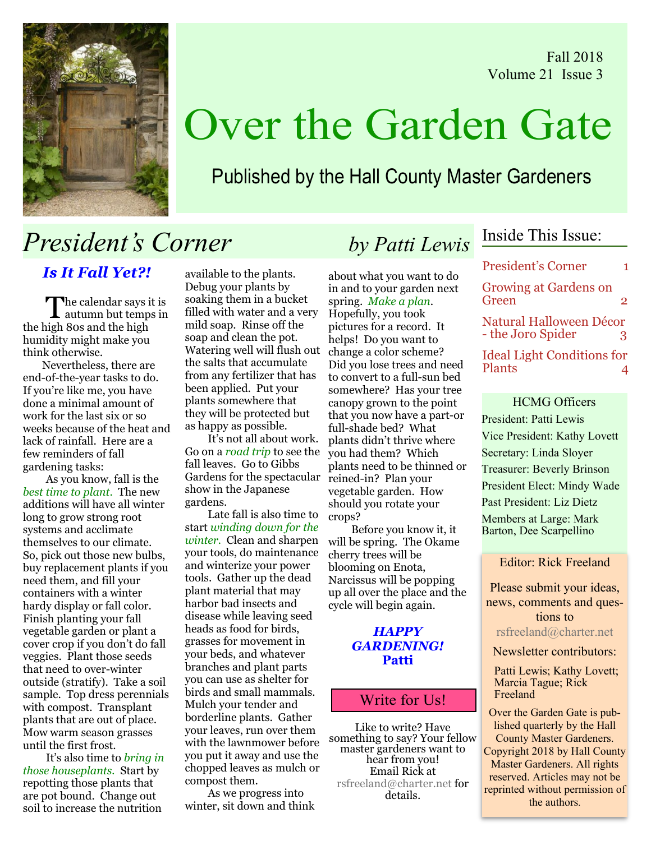Fall 2018 Volume 21 Issue 3



# Over the Garden Gate

Published by the Hall County Master Gardeners

## *President's Corner by Patti Lewis*

*Is It Fall Yet?!*

The calendar says it is<br>autumn but temps in he calendar says it is the high 80s and the high humidity might make you think otherwise.

 Nevertheless, there are end-of-the-year tasks to do. If you're like me, you have done a minimal amount of work for the last six or so weeks because of the heat and lack of rainfall. Here are a few reminders of fall gardening tasks:

As you know, fall is the *best time to plant*. The new additions will have all winter long to grow strong root systems and acclimate themselves to our climate. So, pick out those new bulbs, buy replacement plants if you need them, and fill your containers with a winter hardy display or fall color. Finish planting your fall vegetable garden or plant a cover crop if you don't do fall veggies. Plant those seeds that need to over-winter outside (stratify). Take a soil sample. Top dress perennials with compost. Transplant plants that are out of place. Mow warm season grasses until the first frost.

It's also time to *bring in those houseplants.* Start by repotting those plants that are pot bound. Change out soil to increase the nutrition

available to the plants. Debug your plants by soaking them in a bucket filled with water and a very mild soap. Rinse off the soap and clean the pot. Watering well will flush out the salts that accumulate from any fertilizer that has been applied. Put your plants somewhere that they will be protected but as happy as possible.

It's not all about work. Go on a *road trip* to see the you had them? Which fall leaves. Go to Gibbs Gardens for the spectacular show in the Japanese gardens.

Late fall is also time to start *winding down for the winter.* Clean and sharpen your tools, do maintenance and winterize your power tools. Gather up the dead plant material that may harbor bad insects and disease while leaving seed heads as food for birds, grasses for movement in your beds, and whatever branches and plant parts you can use as shelter for birds and small mammals. Mulch your tender and borderline plants. Gather your leaves, run over them with the lawnmower before you put it away and use the chopped leaves as mulch or compost them.

As we progress into winter, sit down and think

about what you want to do in and to your garden next spring. *Make a plan*. Hopefully, you took pictures for a record. It helps! Do you want to change a color scheme? Did you lose trees and need to convert to a full-sun bed somewhere? Has your tree canopy grown to the point that you now have a part-or full-shade bed? What plants didn't thrive where plants need to be thinned or reined-in? Plan your vegetable garden. How should you rotate your crops?

Before you know it, it will be spring. The Okame cherry trees will be blooming on Enota, Narcissus will be popping up all over the place and the cycle will begin again.

#### *HAPPY GARDENING!* **Patti**

### Write for Us!

Like to write? Have something to say? Your fellow master gardeners want to hear from you! Email Rick at rsfreeland@charter.net for details.

### Inside This Issue:

President's Corner 1 Growing at Gardens on Green 2 Natural Halloween Décor - the Joro Spider 3 Ideal Light Conditions for Plants 4

HCMG Officers President: Patti Lewis Vice President: Kathy Lovett Secretary: Linda Sloyer Treasurer: Beverly Brinson President Elect: Mindy Wade Past President: Liz Dietz Members at Large: Mark Barton, Dee Scarpellino

Editor: Rick Freeland

Please submit your ideas, news, comments and questions to rsfreeland@charter.net

Newsletter contributors:

Patti Lewis; Kathy Lovett; Marcia Tague; Rick Freeland

Over the Garden Gate is published quarterly by the Hall County Master Gardeners. Copyright 2018 by Hall County Master Gardeners. All rights reserved. Articles may not be reprinted without permission of the authors.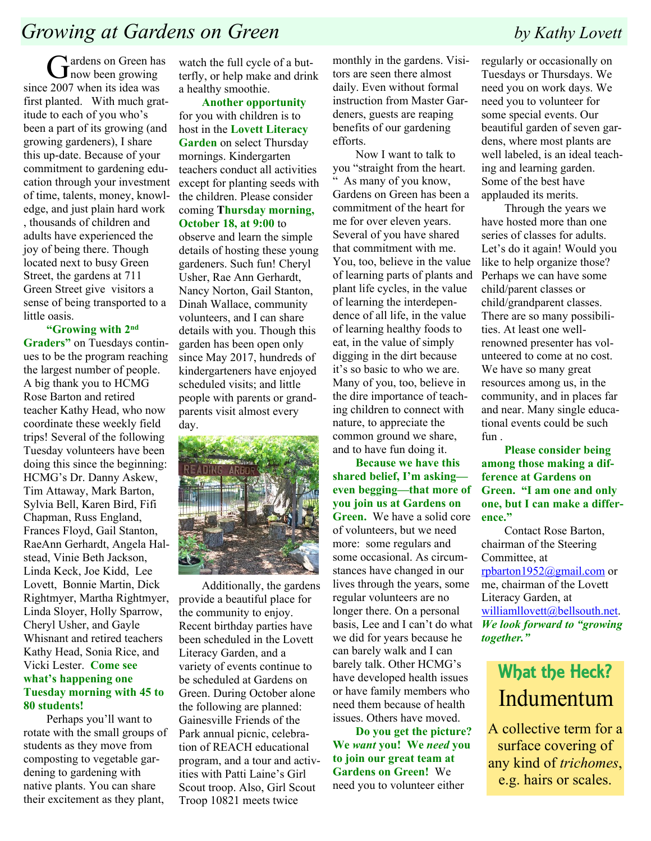Gardens on Green has<br>
now been growing now been growing since 2007 when its idea was first planted. With much gratitude to each of you who's been a part of its growing (and growing gardeners), I share this up-date. Because of your commitment to gardening education through your investment of time, talents, money, knowledge, and just plain hard work , thousands of children and adults have experienced the joy of being there. Though located next to busy Green Street, the gardens at 711 Green Street give visitors a sense of being transported to a little oasis.

#### **"Growing with 2nd**

**Graders"** on Tuesdays continues to be the program reaching the largest number of people. A big thank you to HCMG Rose Barton and retired teacher Kathy Head, who now coordinate these weekly field trips! Several of the following Tuesday volunteers have been doing this since the beginning: HCMG's Dr. Danny Askew, Tim Attaway, Mark Barton, Sylvia Bell, Karen Bird, Fifi Chapman, Russ England, Frances Floyd, Gail Stanton, RaeAnn Gerhardt, Angela Halstead, Vinie Beth Jackson, Linda Keck, Joe Kidd, Lee Lovett, Bonnie Martin, Dick Rightmyer, Martha Rightmyer, Linda Sloyer, Holly Sparrow, Cheryl Usher, and Gayle Whisnant and retired teachers Kathy Head, Sonia Rice, and Vicki Lester. **Come see what's happening one Tuesday morning with 45 to 80 students!**

Perhaps you'll want to rotate with the small groups of students as they move from composting to vegetable gardening to gardening with native plants. You can share their excitement as they plant,

watch the full cycle of a butterfly, or help make and drink a healthy smoothie.

**Another opportunity** for you with children is to host in the **Lovett Literacy Garden** on select Thursday mornings. Kindergarten teachers conduct all activities except for planting seeds with the children. Please consider coming **Thursday morning, October 18, at 9:00** to

observe and learn the simple details of hosting these young gardeners. Such fun! Cheryl Usher, Rae Ann Gerhardt, Nancy Norton, Gail Stanton, Dinah Wallace, community volunteers, and I can share details with you. Though this garden has been open only since May 2017, hundreds of kindergarteners have enjoyed scheduled visits; and little people with parents or grandparents visit almost every day.



Additionally, the gardens provide a beautiful place for the community to enjoy. Recent birthday parties have been scheduled in the Lovett Literacy Garden, and a variety of events continue to be scheduled at Gardens on Green. During October alone the following are planned: Gainesville Friends of the Park annual picnic, celebration of REACH educational program, and a tour and activities with Patti Laine's Girl Scout troop. Also, Girl Scout Troop 10821 meets twice

monthly in the gardens. Visitors are seen there almost daily. Even without formal instruction from Master Gardeners, guests are reaping benefits of our gardening efforts.

Now I want to talk to you "straight from the heart. " As many of you know, Gardens on Green has been a commitment of the heart for me for over eleven years. Several of you have shared that commitment with me. You, too, believe in the value of learning parts of plants and plant life cycles, in the value of learning the interdependence of all life, in the value of learning healthy foods to eat, in the value of simply digging in the dirt because it's so basic to who we are. Many of you, too, believe in the dire importance of teaching children to connect with nature, to appreciate the common ground we share, and to have fun doing it.

**Because we have this shared belief, I'm asking even begging—that more of you join us at Gardens on Green.** We have a solid core of volunteers, but we need more: some regulars and some occasional. As circumstances have changed in our lives through the years, some regular volunteers are no longer there. On a personal basis, Lee and I can't do what *We look forward to "growing* we did for years because he can barely walk and I can barely talk. Other HCMG's have developed health issues or have family members who need them because of health issues. Others have moved.

**Do you get the picture? We** *want* **you! We** *need* **you to join our great team at Gardens on Green!** We need you to volunteer either

regularly or occasionally on Tuesdays or Thursdays. We need you on work days. We need you to volunteer for some special events. Our beautiful garden of seven gardens, where most plants are well labeled, is an ideal teaching and learning garden. Some of the best have applauded its merits.

Through the years we have hosted more than one series of classes for adults. Let's do it again! Would you like to help organize those? Perhaps we can have some child/parent classes or child/grandparent classes. There are so many possibilities. At least one wellrenowned presenter has volunteered to come at no cost. We have so many great resources among us, in the community, and in places far and near. Many single educational events could be such fun .

**Please consider being among those making a difference at Gardens on Green. "I am one and only one, but I can make a difference."**

Contact Rose Barton, chairman of the Steering Committee, at rpbarton1952@gmail.com or me, chairman of the Lovett Literacy Garden, at williamllovett@bellsouth.net. *together."*

### What the Heck? Indumentum

A collective term for a surface covering of any kind of *trichomes*, e.g. hairs or scales.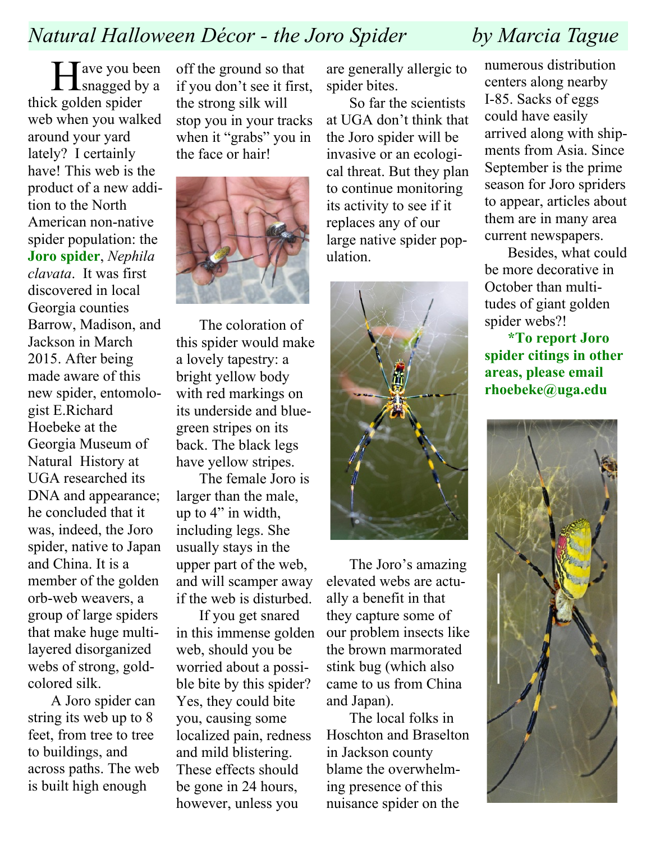### *Natural Halloween Décor - the Joro Spider by Marcia Tague*

Helman we you been Tave you been thick golden spider web when you walked around your yard lately? I certainly have! This web is the product of a new addition to the North American non-native spider population: the **Joro spider**, *Nephila clavata*. It was first discovered in local Georgia counties Barrow, Madison, and Jackson in March 2015. After being made aware of this new spider, entomologist E.Richard Hoebeke at the Georgia Museum of Natural History at UGA researched its DNA and appearance; he concluded that it was, indeed, the Joro spider, native to Japan and China. It is a member of the golden orb-web weavers, a group of large spiders that make huge multilayered disorganized webs of strong, goldcolored silk.

A Joro spider can string its web up to 8 feet, from tree to tree to buildings, and across paths. The web is built high enough

off the ground so that if you don't see it first, the strong silk will stop you in your tracks when it "grabs" you in the face or hair!



The coloration of this spider would make a lovely tapestry: a bright yellow body with red markings on its underside and bluegreen stripes on its back. The black legs have yellow stripes.

The female Joro is larger than the male, up to 4" in width, including legs. She usually stays in the upper part of the web, and will scamper away if the web is disturbed.

If you get snared in this immense golden web, should you be worried about a possible bite by this spider? Yes, they could bite you, causing some localized pain, redness and mild blistering. These effects should be gone in 24 hours, however, unless you

are generally allergic to spider bites.

So far the scientists at UGA don't think that the Joro spider will be invasive or an ecological threat. But they plan to continue monitoring its activity to see if it replaces any of our large native spider population.



The Joro's amazing elevated webs are actually a benefit in that they capture some of our problem insects like the brown marmorated stink bug (which also came to us from China and Japan).

The local folks in Hoschton and Braselton in Jackson county blame the overwhelming presence of this nuisance spider on the

numerous distribution centers along nearby I-85. Sacks of eggs could have easily arrived along with shipments from Asia. Since September is the prime season for Joro spriders to appear, articles about them are in many area current newspapers.

Besides, what could be more decorative in October than multitudes of giant golden spider webs?!

**\*To report Joro spider citings in other areas, please email rhoebeke@uga.edu**